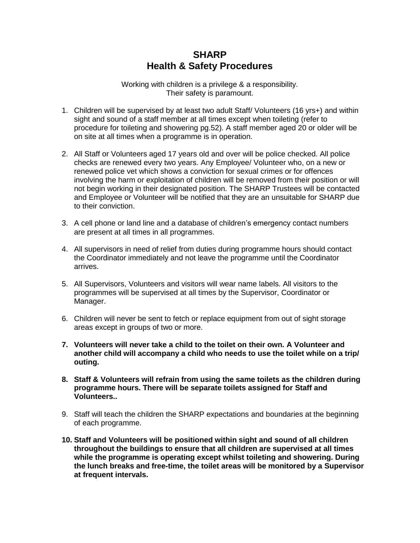## **SHARP Health & Safety Procedures**

Working with children is a privilege & a responsibility. Their safety is paramount.

- 1. Children will be supervised by at least two adult Staff/ Volunteers (16 yrs+) and within sight and sound of a staff member at all times except when toileting (refer to procedure for toileting and showering pg.52). A staff member aged 20 or older will be on site at all times when a programme is in operation.
- 2. All Staff or Volunteers aged 17 years old and over will be police checked. All police checks are renewed every two years. Any Employee/ Volunteer who, on a new or renewed police vet which shows a conviction for sexual crimes or for offences involving the harm or exploitation of children will be removed from their position or will not begin working in their designated position. The SHARP Trustees will be contacted and Employee or Volunteer will be notified that they are an unsuitable for SHARP due to their conviction.
- 3. A cell phone or land line and a database of children's emergency contact numbers are present at all times in all programmes.
- 4. All supervisors in need of relief from duties during programme hours should contact the Coordinator immediately and not leave the programme until the Coordinator arrives.
- 5. All Supervisors, Volunteers and visitors will wear name labels. All visitors to the programmes will be supervised at all times by the Supervisor, Coordinator or Manager.
- 6. Children will never be sent to fetch or replace equipment from out of sight storage areas except in groups of two or more.
- **7. Volunteers will never take a child to the toilet on their own. A Volunteer and another child will accompany a child who needs to use the toilet while on a trip/ outing.**
- **8. Staff & Volunteers will refrain from using the same toilets as the children during programme hours. There will be separate toilets assigned for Staff and Volunteers..**
- 9. Staff will teach the children the SHARP expectations and boundaries at the beginning of each programme.
- **10. Staff and Volunteers will be positioned within sight and sound of all children throughout the buildings to ensure that all children are supervised at all times while the programme is operating except whilst toileting and showering. During the lunch breaks and free-time, the toilet areas will be monitored by a Supervisor at frequent intervals.**